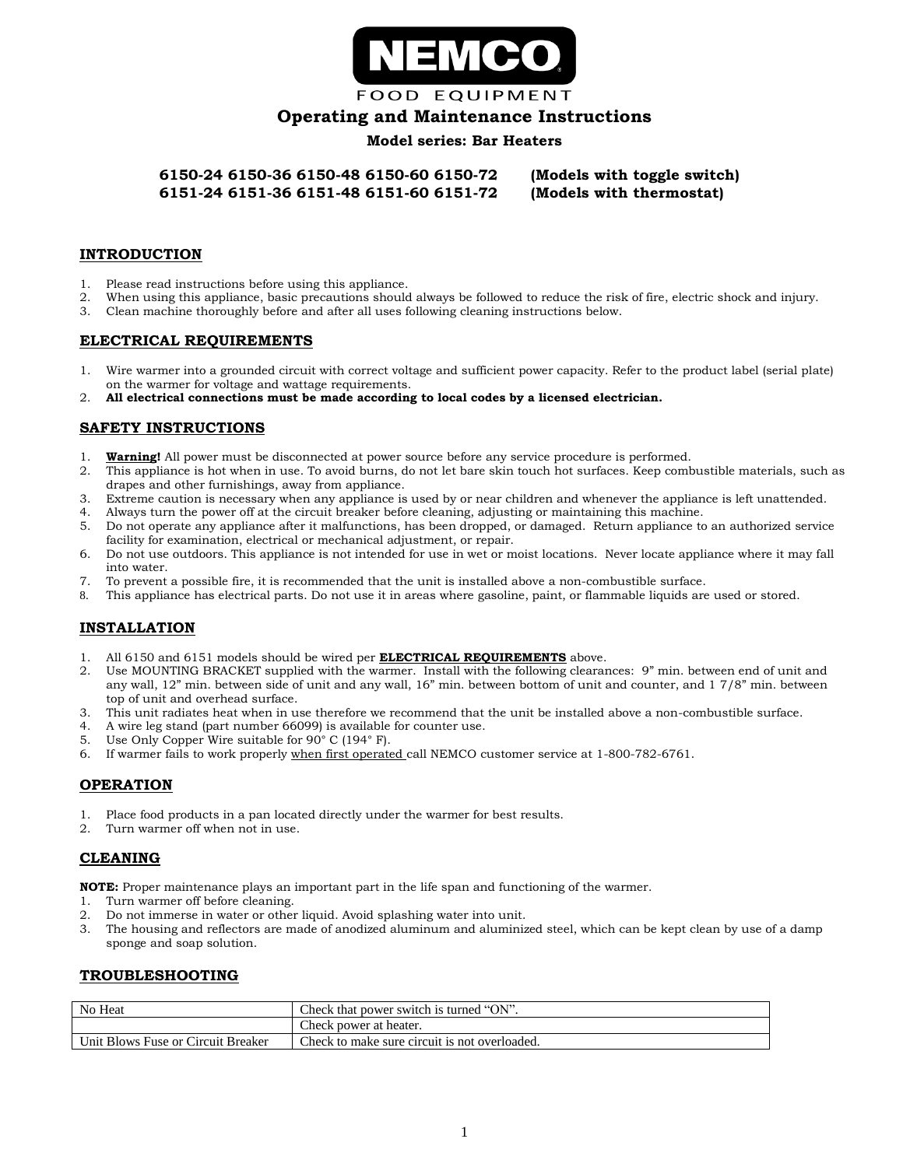

**FOOD EQUIPMENT** 

# **Operating and Maintenance Instructions**

## **Model series: Bar Heaters**

**6150-24 6150-36 6150-48 6150-60 6150-72 (Models with toggle switch) 6151-24 6151-36 6151-48 6151-60 6151-72 (Models with thermostat)**

### **INTRODUCTION**

- 1. Please read instructions before using this appliance.
- 2. When using this appliance, basic precautions should always be followed to reduce the risk of fire, electric shock and injury.
- 3. Clean machine thoroughly before and after all uses following cleaning instructions below.

### **ELECTRICAL REQUIREMENTS**

- 1. Wire warmer into a grounded circuit with correct voltage and sufficient power capacity. Refer to the product label (serial plate) on the warmer for voltage and wattage requirements.
- 2. **All electrical connections must be made according to local codes by a licensed electrician.**

## **SAFETY INSTRUCTIONS**

- 1. **Warning!** All power must be disconnected at power source before any service procedure is performed.
- 2. This appliance is hot when in use. To avoid burns, do not let bare skin touch hot surfaces. Keep combustible materials, such as drapes and other furnishings, away from appliance.
- 3. Extreme caution is necessary when any appliance is used by or near children and whenever the appliance is left unattended.
- 4. Always turn the power off at the circuit breaker before cleaning, adjusting or maintaining this machine.
- 5. Do not operate any appliance after it malfunctions, has been dropped, or damaged. Return appliance to an authorized service facility for examination, electrical or mechanical adjustment, or repair.
- 6. Do not use outdoors. This appliance is not intended for use in wet or moist locations. Never locate appliance where it may fall into water.
- 7. To prevent a possible fire, it is recommended that the unit is installed above a non-combustible surface.
- 8. This appliance has electrical parts. Do not use it in areas where gasoline, paint, or flammable liquids are used or stored.

# **INSTALLATION**

- 1. All 6150 and 6151 models should be wired per **ELECTRICAL REQUIREMENTS** above.
- 2. Use MOUNTING BRACKET supplied with the warmer. Install with the following clearances: 9" min. between end of unit and any wall, 12" min. between side of unit and any wall, 16" min. between bottom of unit and counter, and 1 7/8" min. between top of unit and overhead surface.
- 3. This unit radiates heat when in use therefore we recommend that the unit be installed above a non-combustible surface.
- 4. A wire leg stand (part number 66099) is available for counter use.
- 5. Use Only Copper Wire suitable for 90° C (194° F).
- 6. If warmer fails to work properly when first operated call NEMCO customer service at 1-800-782-6761.

## **OPERATION**

- 1. Place food products in a pan located directly under the warmer for best results.
- 2. Turn warmer off when not in use.

## **CLEANING**

**NOTE:** Proper maintenance plays an important part in the life span and functioning of the warmer.

- 1. Turn warmer off before cleaning.
- 2. Do not immerse in water or other liquid. Avoid splashing water into unit.
- 3. The housing and reflectors are made of anodized aluminum and aluminized steel, which can be kept clean by use of a damp sponge and soap solution.

#### **TROUBLESHOOTING**

| No Heat                            | Check that power switch is turned "ON".       |
|------------------------------------|-----------------------------------------------|
|                                    | Check power at heater.                        |
| Unit Blows Fuse or Circuit Breaker | Check to make sure circuit is not overloaded. |